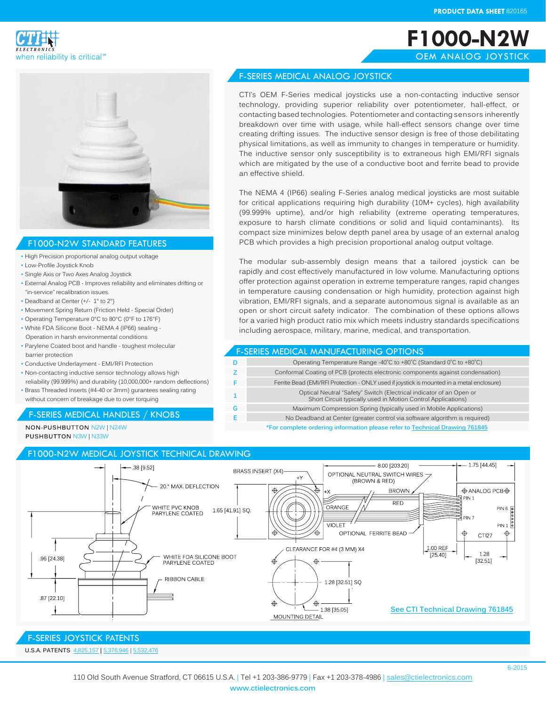**F1000-N2W** OEM ANALOG JOYSTICK

CTI's OEM F-Series medical joysticks use a non-contacting inductive sensor technology, providing superior reliability over potentiometer, hall-effect, or contacting based technologies. Potentiometer and contacting sensors inherently breakdown over time with usage, while hall-effect sensors change over time creating drifting issues. The inductive sensor design is free of those debilitating physical limitations, as well as immunity to changes in temperature or humidity. The inductive sensor only susceptibility is to extraneous high EMI/RFI signals which are mitigated by the use of a conductive boot and ferrite bead to provide

The NEMA 4 (IP66) sealing F-Series analog medical joysticks are most suitable for critical applications requiring high durability (10M+ cycles), high availability (99.999% uptime), and/or high reliability (extreme operating temperatures, exposure to harsh climate conditions or solid and liquid contaminants). Its compact size minimizes below depth panel area by usage of an external analog PCB which provides a high precision proportional analog output voltage.

The modular sub-assembly design means that a tailored joystick can be rapidly and cost effectively manufactured in low volume. Manufacturing options offer protection against operation in extreme temperature ranges, rapid changes in temperature causing condensation or high humidity, protection against high vibration, EMI/RFI signals, and a separate autonomous signal is available as an open or short circuit safety indicator. The combination of these options allows for a varied high product ratio mix which meets industry standards specifications

Short Circuit typically used in Motion Control Applications)

**\*For complete ordering information please refer to [Technical Drawing 7618](http://www.ctielectronics.com/pdf/761845-F1000-N2W-Medical-Joystick.pdf)45**

including aerospace, military, marine, medical, and transportation.

F-SERIES MEDICAL MANUFACTURING OPTIONS

**D** Operating Temperature Range -40°C to +80°C (Standard 0°C to +80°C) **Z** Conformal Coating of PCB (protects electronic components against condensation) **F Ferrite Bead (EMI/RFI Protection - ONLY used if joystick is mounted in a metal enclosure) <sup>1</sup>** Optical Neutral "Safety" Switch (Electrical indicator of an Open or

**G** Maximum Compression Spring (typically used in Mobile Applications) **E** No Deadband at Center (greater control via software algorithm is required)





### F1000-N2W STANDARD FEATURES

- High Precision proportional analog output voltage
- Low-Profile Joystick Knob
- Single Axis or Two Axes Analog Joystick
- External Analog PCB Improves reliability and eliminates drifting or "in-service" recalibration issues.
- Deadband at Center (+/- 1° to 2°)
- Movement Spring Return (Friction Held Special Order)
- Operating Temperature 0°C to 80°C (0°F to 176°F)
- White FDA Silicone Boot NEMA 4 (IP66) sealing Operation in harsh environmental conditions
- Parylene Coated boot and handle toughest molecular barrier protection
- Conductive Underlayment EMI/RFI Protection
- Non-contacting inductive sensor technology allows high reliability (99.999%) and durability (10,000,000+ random deflections)
- Brass Threaded Inserts (#4-40 or 3mm) gurantees sealing rating without concern of breakage due to over torquing

## F-SERIES MEDICAL HANDLES / KNOBS

NON-PUSHBUTTON N2W | N24W **PUSHBUTTON N3W | N33W** 

# F1000-N2W MEDICAL JOYSTICK TECHNICAL DRAWING



an effective shield.

F-SERIES MEDICAL ANALOG JOYSTICK

# F-SERIES JOYSTICK PATENTS

**U.S.A. PATENTS** [4,825,1](http://www.ctielectronics.com/pdf/4731530-Joystick-control-having-optical.pdf)57 **|** 5[,376,](http://www.ctielectronics.com/pdf/5376946-Computer-mouse-simulator-device.pdf)946 | [5,532,4](http://www.ctielectronics.com/pdf/5532476-Redundant-indicator-for-detecting-neutral-joystick-position.pdf)76